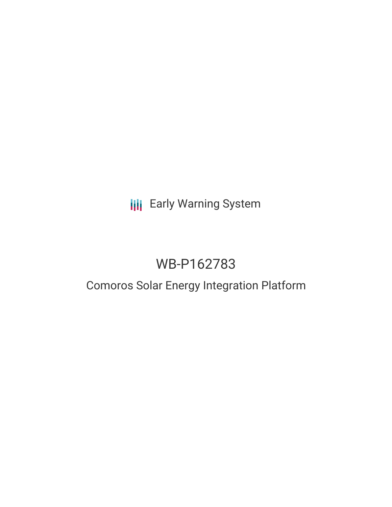## **III** Early Warning System

# WB-P162783

### Comoros Solar Energy Integration Platform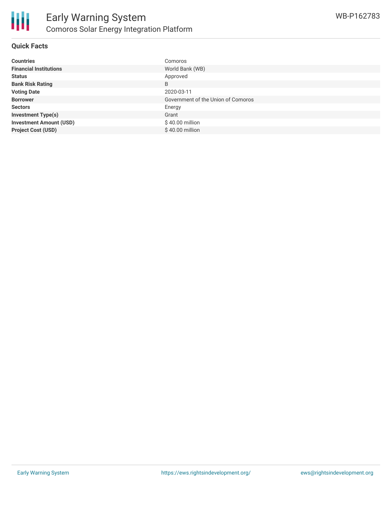

#### **Quick Facts**

| <b>Countries</b>               | Comoros                            |
|--------------------------------|------------------------------------|
| <b>Financial Institutions</b>  | World Bank (WB)                    |
| <b>Status</b>                  | Approved                           |
| <b>Bank Risk Rating</b>        | B                                  |
| <b>Voting Date</b>             | 2020-03-11                         |
| <b>Borrower</b>                | Government of the Union of Comoros |
| <b>Sectors</b>                 | Energy                             |
| <b>Investment Type(s)</b>      | Grant                              |
| <b>Investment Amount (USD)</b> | \$40.00 million                    |
| <b>Project Cost (USD)</b>      | $$40.00$ million                   |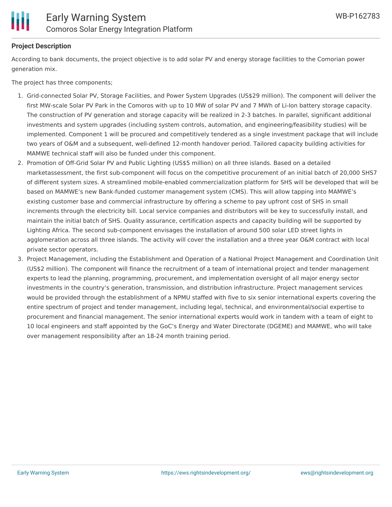

#### **Project Description**

According to bank documents, the project objective is to add solar PV and energy storage facilities to the Comorian power generation mix.

The project has three components;

- 1. Grid-connected Solar PV, Storage Facilities, and Power System Upgrades (US\$29 million). The component will deliver the first MW-scale Solar PV Park in the Comoros with up to 10 MW of solar PV and 7 MWh of Li-Ion battery storage capacity. The construction of PV generation and storage capacity will be realized in 2-3 batches. In parallel, significant additional investments and system upgrades (including system controls, automation, and engineering/feasibility studies) will be implemented. Component 1 will be procured and competitively tendered as a single investment package that will include two years of O&M and a subsequent, well-defined 12-month handover period. Tailored capacity building activities for MAMWE technical staff will also be funded under this component.
- 2. Promotion of Off-Grid Solar PV and Public Lighting (US\$5 million) on all three islands. Based on a detailed marketassessment, the first sub-component will focus on the competitive procurement of an initial batch of 20,000 SHS7 of different system sizes. A streamlined mobile-enabled commercialization platform for SHS will be developed that will be based on MAMWE's new Bank-funded customer management system (CMS). This will allow tapping into MAMWE's existing customer base and commercial infrastructure by offering a scheme to pay upfront cost of SHS in small increments through the electricity bill. Local service companies and distributors will be key to successfully install, and maintain the initial batch of SHS. Quality assurance, certification aspects and capacity building will be supported by Lighting Africa. The second sub-component envisages the installation of around 500 solar LED street lights in agglomeration across all three islands. The activity will cover the installation and a three year O&M contract with local private sector operators.
- 3. Project Management, including the Establishment and Operation of a National Project Management and Coordination Unit (US\$2 million). The component will finance the recruitment of a team of international project and tender management experts to lead the planning, programming, procurement, and implementation oversight of all major energy sector investments in the country's generation, transmission, and distribution infrastructure. Project management services would be provided through the establishment of a NPMU staffed with five to six senior international experts covering the entire spectrum of project and tender management, including legal, technical, and environmental/social expertise to procurement and financial management. The senior international experts would work in tandem with a team of eight to 10 local engineers and staff appointed by the GoC's Energy and Water Directorate (DGEME) and MAMWE, who will take over management responsibility after an 18-24 month training period.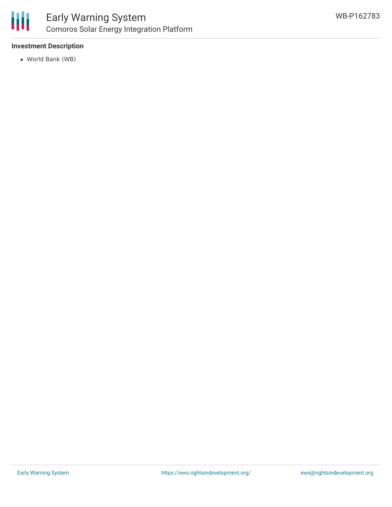

#### **Investment Description**

World Bank (WB)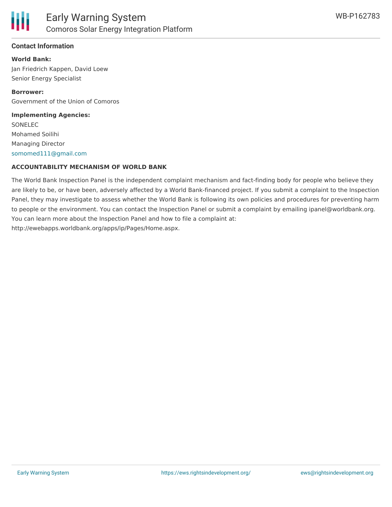

#### **Contact Information**

**World Bank:** Jan Friedrich Kappen, David Loew Senior Energy Specialist

**Borrower:** Government of the Union of Comoros

**Implementing Agencies:** SONELEC Mohamed Soilihi Managing Director [somomed111@gmail.com](mailto:somomed111@gmail.com)

#### **ACCOUNTABILITY MECHANISM OF WORLD BANK**

The World Bank Inspection Panel is the independent complaint mechanism and fact-finding body for people who believe they are likely to be, or have been, adversely affected by a World Bank-financed project. If you submit a complaint to the Inspection Panel, they may investigate to assess whether the World Bank is following its own policies and procedures for preventing harm to people or the environment. You can contact the Inspection Panel or submit a complaint by emailing ipanel@worldbank.org. You can learn more about the Inspection Panel and how to file a complaint at: http://ewebapps.worldbank.org/apps/ip/Pages/Home.aspx.